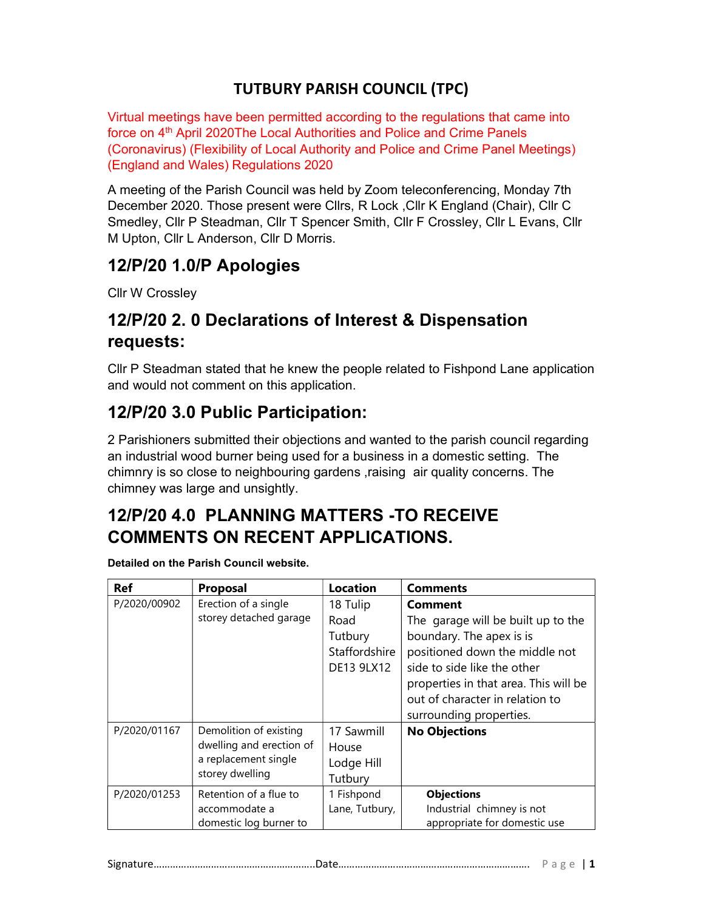#### TUTBURY PARISH COUNCIL (TPC)

Virtual meetings have been permitted according to the regulations that came into force on 4<sup>th</sup> April 2020The Local Authorities and Police and Crime Panels (Coronavirus) (Flexibility of Local Authority and Police and Crime Panel Meetings) (England and Wales) Regulations 2020

A meeting of the Parish Council was held by Zoom teleconferencing, Monday 7th December 2020. Those present were Cllrs, R Lock ,Cllr K England (Chair), Cllr C Smedley, Cllr P Steadman, Cllr T Spencer Smith, Cllr F Crossley, Cllr L Evans, Cllr M Upton, Cllr L Anderson, Cllr D Morris.

### 12/P/20 1.0/P Apologies

Cllr W Crossley

## 12/P/20 2. 0 Declarations of Interest & Dispensation requests:

Cllr P Steadman stated that he knew the people related to Fishpond Lane application and would not comment on this application.

### 12/P/20 3.0 Public Participation:

2 Parishioners submitted their objections and wanted to the parish council regarding an industrial wood burner being used for a business in a domestic setting. The chimnry is so close to neighbouring gardens ,raising air quality concerns. The chimney was large and unsightly.

## 12/P/20 4.0 PLANNING MATTERS -TO RECEIVE COMMENTS ON RECENT APPLICATIONS.

| <b>Ref</b>   | <b>Proposal</b>                                                     | <b>Location</b> | <b>Comments</b>                       |
|--------------|---------------------------------------------------------------------|-----------------|---------------------------------------|
| P/2020/00902 | Erection of a single                                                | 18 Tulip        | <b>Comment</b>                        |
|              | storey detached garage                                              | Road            | The garage will be built up to the    |
|              |                                                                     | Tutbury         | boundary. The apex is is              |
|              |                                                                     | Staffordshire   | positioned down the middle not        |
|              |                                                                     | DE13 9LX12      | side to side like the other           |
|              |                                                                     |                 | properties in that area. This will be |
|              |                                                                     |                 | out of character in relation to       |
|              |                                                                     |                 | surrounding properties.               |
| P/2020/01167 | Demolition of existing                                              | 17 Sawmill      | <b>No Objections</b>                  |
|              | dwelling and erection of<br>a replacement single<br>storey dwelling | House           |                                       |
|              |                                                                     | Lodge Hill      |                                       |
|              |                                                                     | Tutbury         |                                       |
| P/2020/01253 | Retention of a flue to                                              | 1 Fishpond      | <b>Objections</b>                     |
|              | accommodate a                                                       | Lane, Tutbury,  | Industrial chimney is not             |
|              | domestic log burner to                                              |                 | appropriate for domestic use          |

Detailed on the Parish Council website.